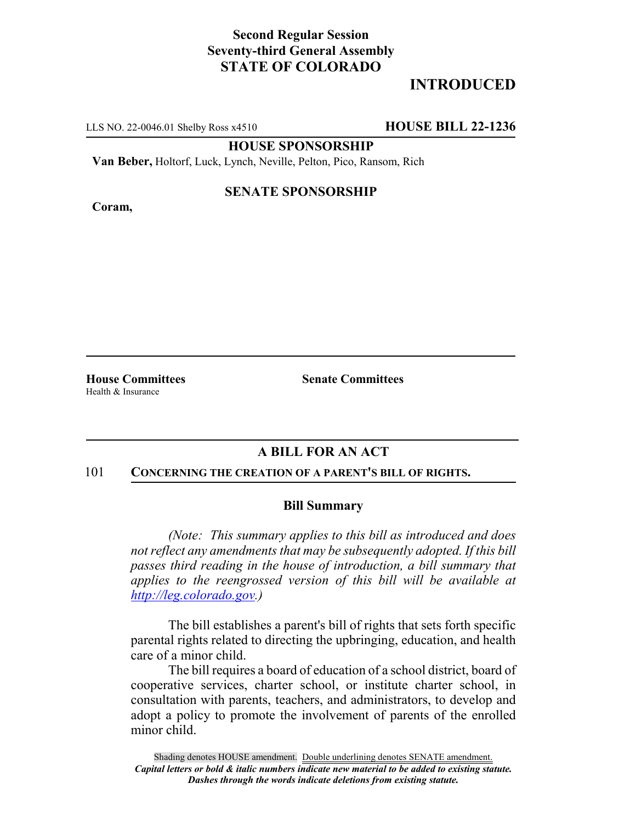# **Second Regular Session Seventy-third General Assembly STATE OF COLORADO**

# **INTRODUCED**

LLS NO. 22-0046.01 Shelby Ross x4510 **HOUSE BILL 22-1236**

**HOUSE SPONSORSHIP**

**Van Beber,** Holtorf, Luck, Lynch, Neville, Pelton, Pico, Ransom, Rich

#### **Coram,**

## **SENATE SPONSORSHIP**

**House Committees Senate Committees** Health & Insurance

## **A BILL FOR AN ACT**

#### 101 **CONCERNING THE CREATION OF A PARENT'S BILL OF RIGHTS.**

### **Bill Summary**

*(Note: This summary applies to this bill as introduced and does not reflect any amendments that may be subsequently adopted. If this bill passes third reading in the house of introduction, a bill summary that applies to the reengrossed version of this bill will be available at http://leg.colorado.gov.)*

The bill establishes a parent's bill of rights that sets forth specific parental rights related to directing the upbringing, education, and health care of a minor child.

The bill requires a board of education of a school district, board of cooperative services, charter school, or institute charter school, in consultation with parents, teachers, and administrators, to develop and adopt a policy to promote the involvement of parents of the enrolled minor child.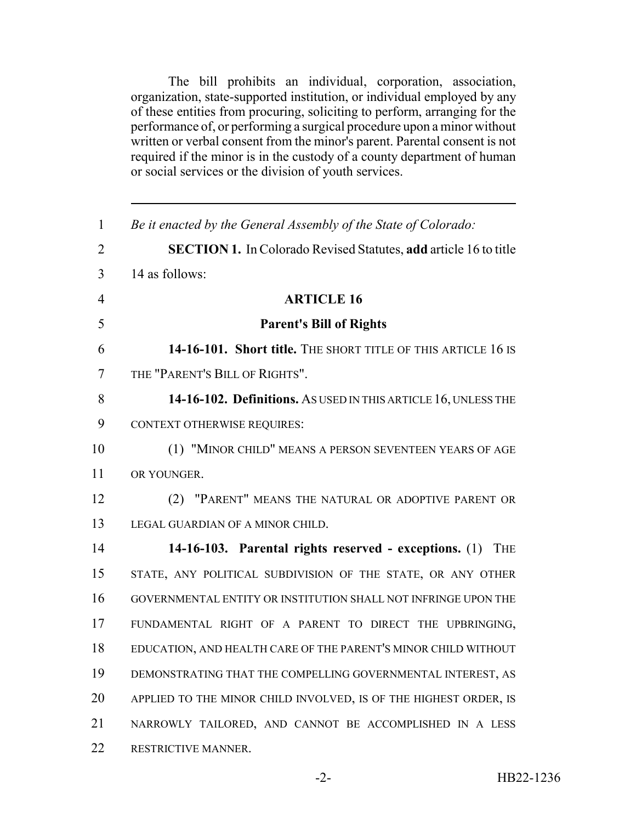The bill prohibits an individual, corporation, association, organization, state-supported institution, or individual employed by any of these entities from procuring, soliciting to perform, arranging for the performance of, or performing a surgical procedure upon a minor without written or verbal consent from the minor's parent. Parental consent is not required if the minor is in the custody of a county department of human or social services or the division of youth services.

| $\mathbf{1}$   | Be it enacted by the General Assembly of the State of Colorado:         |
|----------------|-------------------------------------------------------------------------|
| $\overline{2}$ | <b>SECTION 1.</b> In Colorado Revised Statutes, add article 16 to title |
| 3              | 14 as follows:                                                          |
| $\overline{4}$ | <b>ARTICLE 16</b>                                                       |
| 5              | <b>Parent's Bill of Rights</b>                                          |
| 6              | 14-16-101. Short title. THE SHORT TITLE OF THIS ARTICLE 16 IS           |
| 7              | THE "PARENT'S BILL OF RIGHTS".                                          |
| 8              | 14-16-102. Definitions. As USED IN THIS ARTICLE 16, UNLESS THE          |
| 9              | <b>CONTEXT OTHERWISE REQUIRES:</b>                                      |
| 10             | (1) "MINOR CHILD" MEANS A PERSON SEVENTEEN YEARS OF AGE                 |
| 11             | OR YOUNGER.                                                             |
| 12             | (2) "PARENT" MEANS THE NATURAL OR ADOPTIVE PARENT OR                    |
| 13             | LEGAL GUARDIAN OF A MINOR CHILD.                                        |
| 14             | 14-16-103. Parental rights reserved - exceptions. (1) THE               |
| 15             | STATE, ANY POLITICAL SUBDIVISION OF THE STATE, OR ANY OTHER             |
| 16             | GOVERNMENTAL ENTITY OR INSTITUTION SHALL NOT INFRINGE UPON THE          |
| 17             | FUNDAMENTAL RIGHT OF A PARENT TO DIRECT THE UPBRINGING,                 |
| 18             | EDUCATION, AND HEALTH CARE OF THE PARENT'S MINOR CHILD WITHOUT          |
| 19             | DEMONSTRATING THAT THE COMPELLING GOVERNMENTAL INTEREST, AS             |
| 20             | APPLIED TO THE MINOR CHILD INVOLVED, IS OF THE HIGHEST ORDER, IS        |
| 21             | NARROWLY TAILORED, AND CANNOT BE ACCOMPLISHED IN A LESS                 |
| 22             | RESTRICTIVE MANNER.                                                     |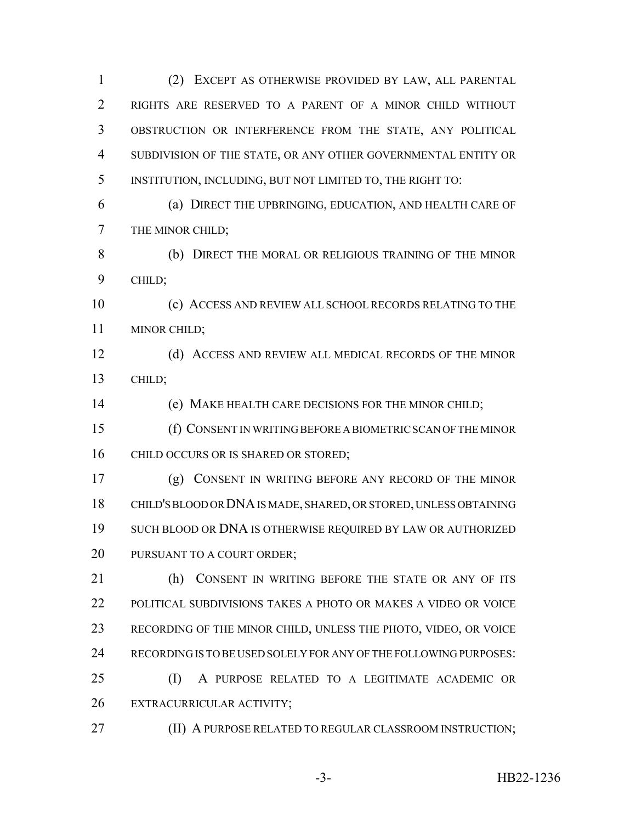(2) EXCEPT AS OTHERWISE PROVIDED BY LAW, ALL PARENTAL RIGHTS ARE RESERVED TO A PARENT OF A MINOR CHILD WITHOUT OBSTRUCTION OR INTERFERENCE FROM THE STATE, ANY POLITICAL SUBDIVISION OF THE STATE, OR ANY OTHER GOVERNMENTAL ENTITY OR INSTITUTION, INCLUDING, BUT NOT LIMITED TO, THE RIGHT TO:

 (a) DIRECT THE UPBRINGING, EDUCATION, AND HEALTH CARE OF THE MINOR CHILD;

 (b) DIRECT THE MORAL OR RELIGIOUS TRAINING OF THE MINOR CHILD;

 (c) ACCESS AND REVIEW ALL SCHOOL RECORDS RELATING TO THE MINOR CHILD;

12 (d) ACCESS AND REVIEW ALL MEDICAL RECORDS OF THE MINOR CHILD;

(e) MAKE HEALTH CARE DECISIONS FOR THE MINOR CHILD;

 (f) CONSENT IN WRITING BEFORE A BIOMETRIC SCAN OF THE MINOR 16 CHILD OCCURS OR IS SHARED OR STORED;

 (g) CONSENT IN WRITING BEFORE ANY RECORD OF THE MINOR CHILD'S BLOOD OR DNA IS MADE, SHARED, OR STORED, UNLESS OBTAINING SUCH BLOOD OR DNA IS OTHERWISE REQUIRED BY LAW OR AUTHORIZED 20 PURSUANT TO A COURT ORDER;

21 (h) CONSENT IN WRITING BEFORE THE STATE OR ANY OF ITS POLITICAL SUBDIVISIONS TAKES A PHOTO OR MAKES A VIDEO OR VOICE RECORDING OF THE MINOR CHILD, UNLESS THE PHOTO, VIDEO, OR VOICE RECORDING IS TO BE USED SOLELY FOR ANY OF THE FOLLOWING PURPOSES:

 (I) A PURPOSE RELATED TO A LEGITIMATE ACADEMIC OR EXTRACURRICULAR ACTIVITY;

**(II) A PURPOSE RELATED TO REGULAR CLASSROOM INSTRUCTION;**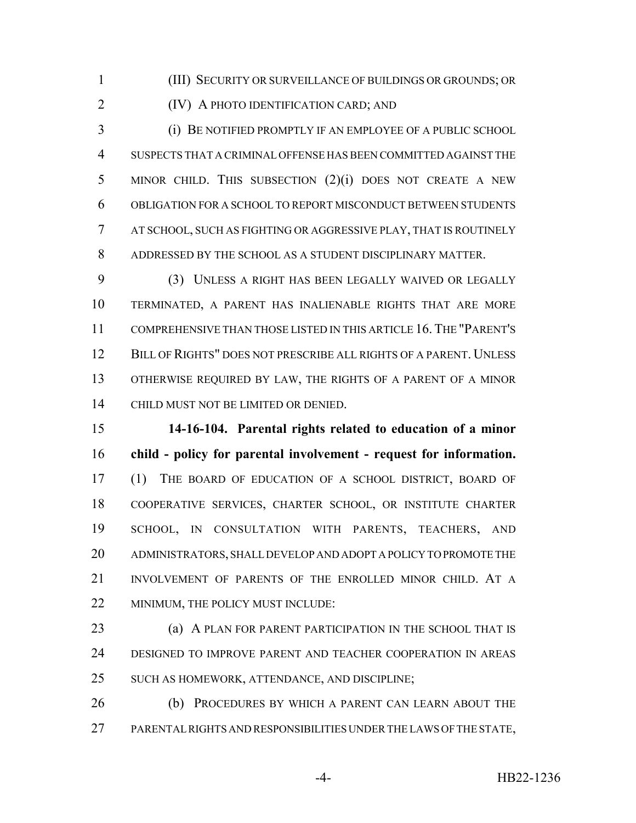(III) SECURITY OR SURVEILLANCE OF BUILDINGS OR GROUNDS; OR

(IV) A PHOTO IDENTIFICATION CARD; AND

 (i) BE NOTIFIED PROMPTLY IF AN EMPLOYEE OF A PUBLIC SCHOOL SUSPECTS THAT A CRIMINAL OFFENSE HAS BEEN COMMITTED AGAINST THE MINOR CHILD. THIS SUBSECTION (2)(i) DOES NOT CREATE A NEW OBLIGATION FOR A SCHOOL TO REPORT MISCONDUCT BETWEEN STUDENTS AT SCHOOL, SUCH AS FIGHTING OR AGGRESSIVE PLAY, THAT IS ROUTINELY ADDRESSED BY THE SCHOOL AS A STUDENT DISCIPLINARY MATTER.

 (3) UNLESS A RIGHT HAS BEEN LEGALLY WAIVED OR LEGALLY TERMINATED, A PARENT HAS INALIENABLE RIGHTS THAT ARE MORE COMPREHENSIVE THAN THOSE LISTED IN THIS ARTICLE 16.THE "PARENT'S 12 BILL OF RIGHTS" DOES NOT PRESCRIBE ALL RIGHTS OF A PARENT. UNLESS OTHERWISE REQUIRED BY LAW, THE RIGHTS OF A PARENT OF A MINOR CHILD MUST NOT BE LIMITED OR DENIED.

 **14-16-104. Parental rights related to education of a minor child - policy for parental involvement - request for information.** (1) THE BOARD OF EDUCATION OF A SCHOOL DISTRICT, BOARD OF COOPERATIVE SERVICES, CHARTER SCHOOL, OR INSTITUTE CHARTER SCHOOL, IN CONSULTATION WITH PARENTS, TEACHERS, AND ADMINISTRATORS, SHALL DEVELOP AND ADOPT A POLICY TO PROMOTE THE INVOLVEMENT OF PARENTS OF THE ENROLLED MINOR CHILD. AT A 22 MINIMUM, THE POLICY MUST INCLUDE:

 (a) A PLAN FOR PARENT PARTICIPATION IN THE SCHOOL THAT IS DESIGNED TO IMPROVE PARENT AND TEACHER COOPERATION IN AREAS SUCH AS HOMEWORK, ATTENDANCE, AND DISCIPLINE;

**(b) PROCEDURES BY WHICH A PARENT CAN LEARN ABOUT THE** PARENTAL RIGHTS AND RESPONSIBILITIES UNDER THE LAWS OF THE STATE,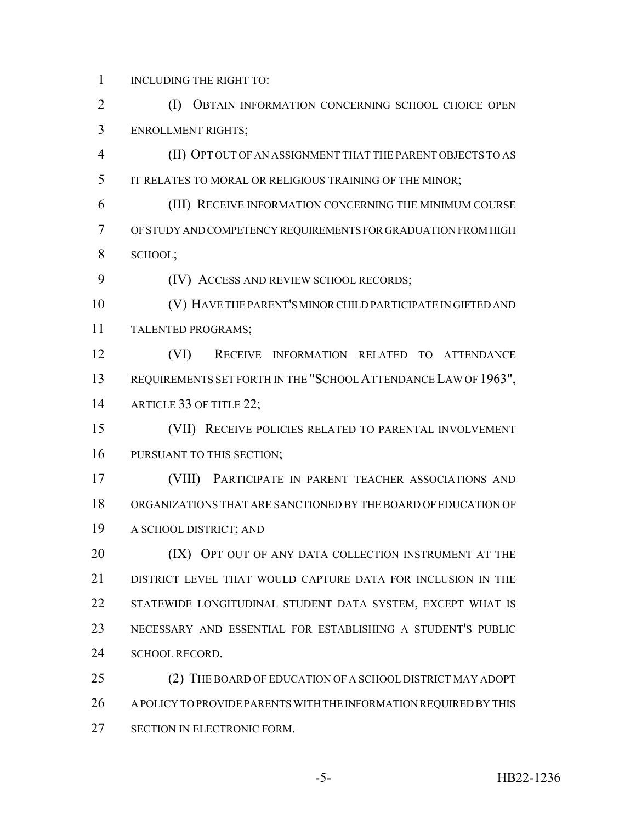1 INCLUDING THE RIGHT TO:

 (I) OBTAIN INFORMATION CONCERNING SCHOOL CHOICE OPEN ENROLLMENT RIGHTS;

 (II) OPT OUT OF AN ASSIGNMENT THAT THE PARENT OBJECTS TO AS IT RELATES TO MORAL OR RELIGIOUS TRAINING OF THE MINOR;

 (III) RECEIVE INFORMATION CONCERNING THE MINIMUM COURSE OF STUDY AND COMPETENCY REQUIREMENTS FOR GRADUATION FROM HIGH SCHOOL;

(IV) ACCESS AND REVIEW SCHOOL RECORDS;

 (V) HAVE THE PARENT'S MINOR CHILD PARTICIPATE IN GIFTED AND TALENTED PROGRAMS;

 (VI) RECEIVE INFORMATION RELATED TO ATTENDANCE REQUIREMENTS SET FORTH IN THE "SCHOOL ATTENDANCE LAW OF 1963", 14 ARTICLE 33 OF TITLE 22;

 (VII) RECEIVE POLICIES RELATED TO PARENTAL INVOLVEMENT PURSUANT TO THIS SECTION;

 (VIII) PARTICIPATE IN PARENT TEACHER ASSOCIATIONS AND ORGANIZATIONS THAT ARE SANCTIONED BY THE BOARD OF EDUCATION OF A SCHOOL DISTRICT; AND

**(IX) OPT OUT OF ANY DATA COLLECTION INSTRUMENT AT THE**  DISTRICT LEVEL THAT WOULD CAPTURE DATA FOR INCLUSION IN THE STATEWIDE LONGITUDINAL STUDENT DATA SYSTEM, EXCEPT WHAT IS NECESSARY AND ESSENTIAL FOR ESTABLISHING A STUDENT'S PUBLIC 24 SCHOOL RECORD.

 (2) THE BOARD OF EDUCATION OF A SCHOOL DISTRICT MAY ADOPT A POLICY TO PROVIDE PARENTS WITH THE INFORMATION REQUIRED BY THIS SECTION IN ELECTRONIC FORM.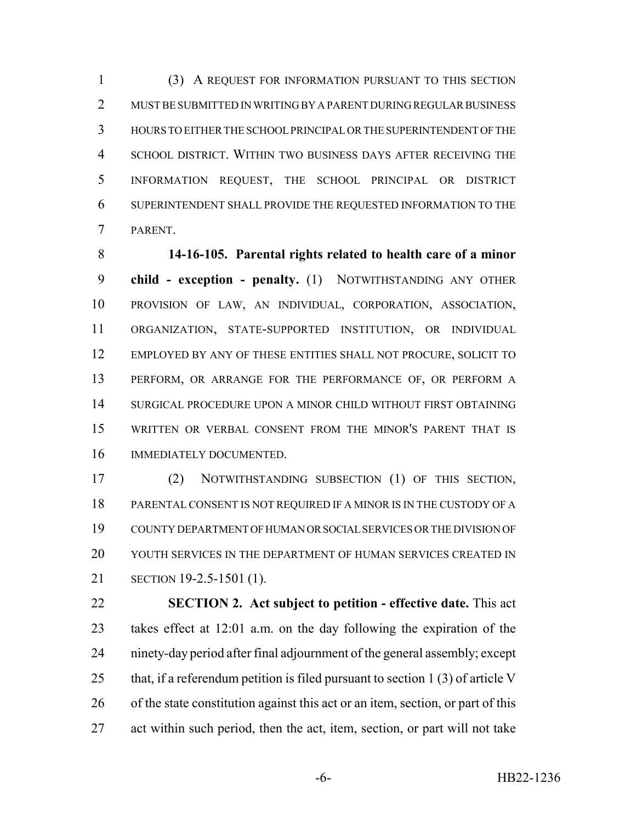(3) A REQUEST FOR INFORMATION PURSUANT TO THIS SECTION MUST BE SUBMITTED IN WRITING BY A PARENT DURING REGULAR BUSINESS HOURS TO EITHER THE SCHOOL PRINCIPAL OR THE SUPERINTENDENT OF THE SCHOOL DISTRICT. WITHIN TWO BUSINESS DAYS AFTER RECEIVING THE INFORMATION REQUEST, THE SCHOOL PRINCIPAL OR DISTRICT SUPERINTENDENT SHALL PROVIDE THE REQUESTED INFORMATION TO THE PARENT.

 **14-16-105. Parental rights related to health care of a minor child - exception - penalty.** (1) NOTWITHSTANDING ANY OTHER PROVISION OF LAW, AN INDIVIDUAL, CORPORATION, ASSOCIATION, ORGANIZATION, STATE-SUPPORTED INSTITUTION, OR INDIVIDUAL EMPLOYED BY ANY OF THESE ENTITIES SHALL NOT PROCURE, SOLICIT TO PERFORM, OR ARRANGE FOR THE PERFORMANCE OF, OR PERFORM A SURGICAL PROCEDURE UPON A MINOR CHILD WITHOUT FIRST OBTAINING WRITTEN OR VERBAL CONSENT FROM THE MINOR'S PARENT THAT IS IMMEDIATELY DOCUMENTED.

 (2) NOTWITHSTANDING SUBSECTION (1) OF THIS SECTION, PARENTAL CONSENT IS NOT REQUIRED IF A MINOR IS IN THE CUSTODY OF A COUNTY DEPARTMENT OF HUMAN OR SOCIAL SERVICES OR THE DIVISION OF YOUTH SERVICES IN THE DEPARTMENT OF HUMAN SERVICES CREATED IN SECTION 19-2.5-1501 (1).

 **SECTION 2. Act subject to petition - effective date.** This act takes effect at 12:01 a.m. on the day following the expiration of the ninety-day period after final adjournment of the general assembly; except 25 that, if a referendum petition is filed pursuant to section 1 (3) of article V of the state constitution against this act or an item, section, or part of this act within such period, then the act, item, section, or part will not take